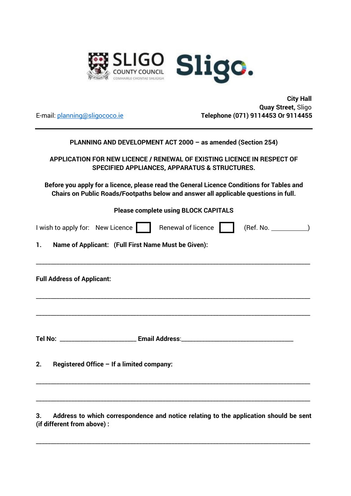

 **City Hall Quay Street,** Sligo E-mail: planning@sligococo.ie **Telephone (071) 9114453 Or 9114455** 

| PLANNING AND DEVELOPMENT ACT 2000 - as amended (Section 254)                                                                                                                     |  |  |  |  |
|----------------------------------------------------------------------------------------------------------------------------------------------------------------------------------|--|--|--|--|
| APPLICATION FOR NEW LICENCE / RENEWAL OF EXISTING LICENCE IN RESPECT OF<br><b>SPECIFIED APPLIANCES, APPARATUS &amp; STRUCTURES.</b>                                              |  |  |  |  |
| Before you apply for a licence, please read the General Licence Conditions for Tables and<br>Chairs on Public Roads/Footpaths below and answer all applicable questions in full. |  |  |  |  |
| <b>Please complete using BLOCK CAPITALS</b>                                                                                                                                      |  |  |  |  |
| (Ref. No. )<br>I wish to apply for: New Licence     Renewal of licence                                                                                                           |  |  |  |  |
| Name of Applicant: (Full First Name Must be Given):<br>1.                                                                                                                        |  |  |  |  |
| <b>Full Address of Applicant:</b>                                                                                                                                                |  |  |  |  |
|                                                                                                                                                                                  |  |  |  |  |
| Registered Office - If a limited company:<br>2.                                                                                                                                  |  |  |  |  |
| the contract of the contract of the contract of the contract of the contract of the contract of the contract of                                                                  |  |  |  |  |

**3. Address to which correspondence and notice relating to the application should be sent (if different from above) :** 

\_\_\_\_\_\_\_\_\_\_\_\_\_\_\_\_\_\_\_\_\_\_\_\_\_\_\_\_\_\_\_\_\_\_\_\_\_\_\_\_\_\_\_\_\_\_\_\_\_\_\_\_\_\_\_\_\_\_\_\_\_\_\_\_\_\_\_\_\_\_\_\_\_\_\_\_\_\_\_\_\_\_\_\_\_\_\_\_\_\_\_\_\_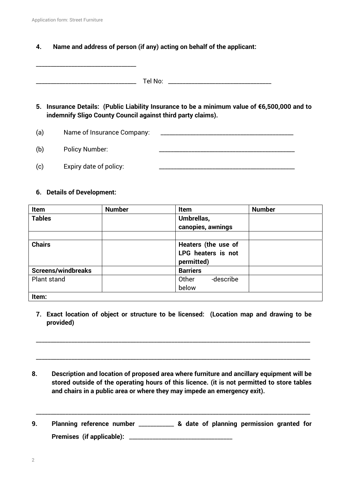**4. Name and address of person (if any) acting on behalf of the applicant:** 

\_\_\_\_\_\_\_\_\_\_\_\_\_\_\_\_\_\_\_\_\_\_\_\_\_\_\_\_\_\_\_\_\_\_ Tel No: \_\_\_\_\_\_\_\_\_\_\_\_\_\_\_\_\_\_\_\_\_\_\_\_\_\_\_\_\_\_\_\_\_\_\_

- **5. Insurance Details: (Public Liability Insurance to be a minimum value of €6,500,000 and to indemnify Sligo County Council against third party claims).**
- (a) Name of Insurance Company:

\_\_\_\_\_\_\_\_\_\_\_\_\_\_\_\_\_\_\_\_\_\_\_\_\_\_\_\_\_\_\_\_\_\_

(b) Policy Number:  $(c)$  Expiry date of policy:

#### **6. Details of Development:**

| Item                      | <b>Number</b> | Item                | <b>Number</b> |
|---------------------------|---------------|---------------------|---------------|
| <b>Tables</b>             |               | Umbrellas,          |               |
|                           |               | canopies, awnings   |               |
|                           |               |                     |               |
| <b>Chairs</b>             |               | Heaters (the use of |               |
|                           |               | LPG heaters is not  |               |
|                           |               | permitted)          |               |
| <b>Screens/windbreaks</b> |               | <b>Barriers</b>     |               |
| Plant stand               |               | -describe<br>Other  |               |
|                           |               | below               |               |
| Item:                     |               |                     |               |

**7. Exact location of object or structure to be licensed: (Location map and drawing to be provided)** 

\_\_\_\_\_\_\_\_\_\_\_\_\_\_\_\_\_\_\_\_\_\_\_\_\_\_\_\_\_\_\_\_\_\_\_\_\_\_\_\_\_\_\_\_\_\_\_\_\_\_\_\_\_\_\_\_\_\_\_\_\_\_\_\_\_\_\_\_\_\_\_\_\_\_\_\_\_\_\_\_\_\_\_\_\_\_\_\_\_\_\_\_\_

\_\_\_\_\_\_\_\_\_\_\_\_\_\_\_\_\_\_\_\_\_\_\_\_\_\_\_\_\_\_\_\_\_\_\_\_\_\_\_\_\_\_\_\_\_\_\_\_\_\_\_\_\_\_\_\_\_\_\_\_\_\_\_\_\_\_\_\_\_\_\_\_\_\_\_\_\_\_\_\_\_\_\_\_\_\_\_\_\_\_\_\_\_

- **8. Description and location of proposed area where furniture and ancillary equipment will be stored outside of the operating hours of this licence. (it is not permitted to store tables and chairs in a public area or where they may impede an emergency exit).**
- **9. Planning reference number** \_\_\_\_\_\_\_\_\_\_\_\_ **& date of planning permission granted for Premises (if applicable):** \_\_\_\_\_\_\_\_\_\_\_\_\_\_\_\_\_\_\_\_\_\_\_\_\_\_\_\_\_\_\_\_\_\_\_

\_\_\_\_\_\_\_\_\_\_\_\_\_\_\_\_\_\_\_\_\_\_\_\_\_\_\_\_\_\_\_\_\_\_\_\_\_\_\_\_\_\_\_\_\_\_\_\_\_\_\_\_\_\_\_\_\_\_\_\_\_\_\_\_\_\_\_\_\_\_\_\_\_\_\_\_\_\_\_\_\_\_\_\_\_\_\_\_\_\_\_\_\_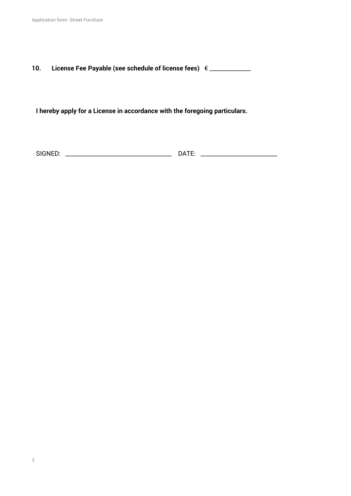# **10. License Fee Payable (see schedule of license fees)** € \_\_\_\_\_\_\_\_\_\_\_\_\_\_

**I hereby apply for a License in accordance with the foregoing particulars.** 

SIGNED: \_\_\_\_\_\_\_\_\_\_\_\_\_\_\_\_\_\_\_\_\_\_\_\_\_\_\_\_\_\_\_\_\_\_\_\_ DATE: \_\_\_\_\_\_\_\_\_\_\_\_\_\_\_\_\_\_\_\_\_\_\_\_\_\_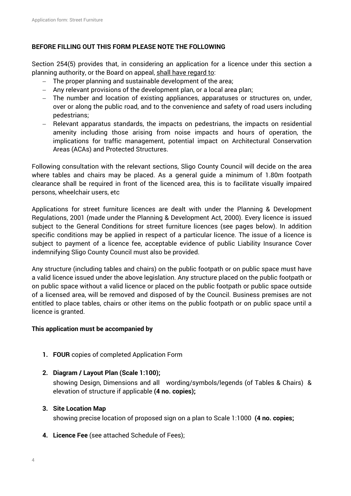#### **BEFORE FILLING OUT THIS FORM PLEASE NOTE THE FOLLOWING**

Section 254(5) provides that, in considering an application for a licence under this section a planning authority, or the Board on appeal, shall have regard to:

- The proper planning and sustainable development of the area;
- Any relevant provisions of the development plan, or a local area plan;
- The number and location of existing appliances, apparatuses or structures on, under, over or along the public road, and to the convenience and safety of road users including pedestrians;
- Relevant apparatus standards, the impacts on pedestrians, the impacts on residential amenity including those arising from noise impacts and hours of operation, the implications for traffic management, potential impact on Architectural Conservation Areas (ACAs) and Protected Structures.

Following consultation with the relevant sections, Sligo County Council will decide on the area where tables and chairs may be placed. As a general guide a minimum of 1.80m footpath clearance shall be required in front of the licenced area, this is to facilitate visually impaired persons, wheelchair users, etc

Applications for street furniture licences are dealt with under the Planning & Development Regulations, 2001 (made under the Planning & Development Act, 2000). Every licence is issued subject to the General Conditions for street furniture licences (see pages below). In addition specific conditions may be applied in respect of a particular licence. The issue of a licence is subject to payment of a licence fee, acceptable evidence of public Liability Insurance Cover indemnifying Sligo County Council must also be provided.

Any structure (including tables and chairs) on the public footpath or on public space must have a valid licence issued under the above legislation. Any structure placed on the public footpath or on public space without a valid licence or placed on the public footpath or public space outside of a licensed area, will be removed and disposed of by the Council. Business premises are not entitled to place tables, chairs or other items on the public footpath or on public space until a licence is granted.

#### **This application must be accompanied by**

- **1. FOUR** copies of completed Application Form
- **2. Diagram / Layout Plan (Scale 1:100);**

showing Design, Dimensions and all wording/symbols/legends (of Tables & Chairs) & elevation of structure if applicable **(4 no. copies);** 

#### **3. Site Location Map**

showing precise location of proposed sign on a plan to Scale 1:1000 **(4 no. copies;** 

**4. Licence Fee** (see attached Schedule of Fees);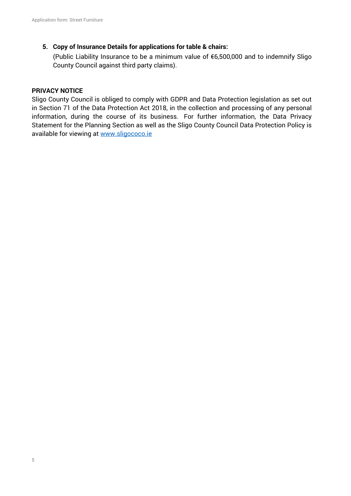## **5. Copy of Insurance Details for applications for table & chairs:**

(Public Liability Insurance to be a minimum value of €6,500,000 and to indemnify Sligo County Council against third party claims).

### **PRIVACY NOTICE**

Sligo County Council is obliged to comply with GDPR and Data Protection legislation as set out in Section 71 of the Data Protection Act 2018, in the collection and processing of any personal information, during the course of its business. For further information, the Data Privacy Statement for the Planning Section as well as the Sligo County Council Data Protection Policy is available for viewing at www.sligococo.ie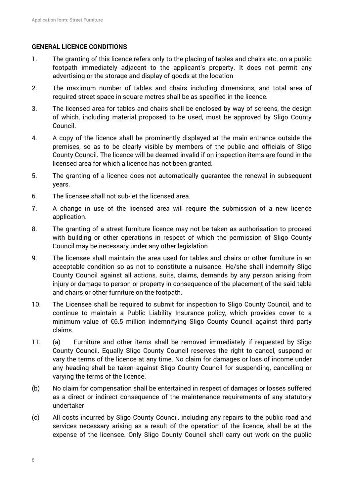### **GENERAL LICENCE CONDITIONS**

- 1. The granting of this licence refers only to the placing of tables and chairs etc. on a public footpath immediately adjacent to the applicant's property. It does not permit any advertising or the storage and display of goods at the location
- 2. The maximum number of tables and chairs including dimensions, and total area of required street space in square metres shall be as specified in the licence.
- 3. The licensed area for tables and chairs shall be enclosed by way of screens, the design of which, including material proposed to be used, must be approved by Sligo County Council.
- 4. A copy of the licence shall be prominently displayed at the main entrance outside the premises, so as to be clearly visible by members of the public and officials of Sligo County Council. The licence will be deemed invalid if on inspection items are found in the licensed area for which a licence has not been granted.
- 5. The granting of a licence does not automatically guarantee the renewal in subsequent years.
- 6. The licensee shall not sub-let the licensed area.
- 7. A change in use of the licensed area will require the submission of a new licence application.
- 8. The granting of a street furniture licence may not be taken as authorisation to proceed with building or other operations in respect of which the permission of Sligo County Council may be necessary under any other legislation.
- 9. The licensee shall maintain the area used for tables and chairs or other furniture in an acceptable condition so as not to constitute a nuisance. He/she shall indemnify Sligo County Council against all actions, suits, claims, demands by any person arising from injury or damage to person or property in consequence of the placement of the said table and chairs or other furniture on the footpath.
- 10. The Licensee shall be required to submit for inspection to Sligo County Council, and to continue to maintain a Public Liability Insurance policy, which provides cover to a minimum value of €6.5 million indemnifying Sligo County Council against third party claims.
- 11. (a) Furniture and other items shall be removed immediately if requested by Sligo County Council. Equally Sligo County Council reserves the right to cancel, suspend or vary the terms of the licence at any time. No claim for damages or loss of income under any heading shall be taken against Sligo County Council for suspending, cancelling or varying the terms of the licence.
- (b) No claim for compensation shall be entertained in respect of damages or losses suffered as a direct or indirect consequence of the maintenance requirements of any statutory undertaker
- (c) All costs incurred by Sligo County Council, including any repairs to the public road and services necessary arising as a result of the operation of the licence, shall be at the expense of the licensee. Only Sligo County Council shall carry out work on the public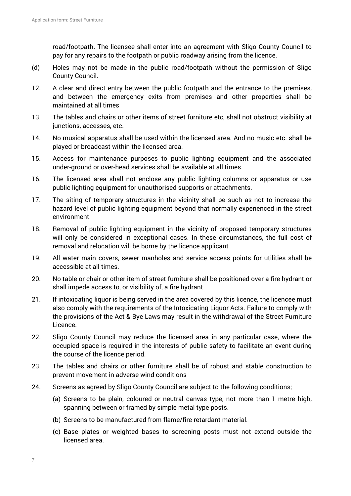road/footpath. The licensee shall enter into an agreement with Sligo County Council to pay for any repairs to the footpath or public roadway arising from the licence.

- (d) Holes may not be made in the public road/footpath without the permission of Sligo County Council.
- 12. A clear and direct entry between the public footpath and the entrance to the premises, and between the emergency exits from premises and other properties shall be maintained at all times
- 13. The tables and chairs or other items of street furniture etc, shall not obstruct visibility at junctions, accesses, etc.
- 14. No musical apparatus shall be used within the licensed area. And no music etc. shall be played or broadcast within the licensed area.
- 15. Access for maintenance purposes to public lighting equipment and the associated under-ground or over-head services shall be available at all times.
- 16. The licensed area shall not enclose any public lighting columns or apparatus or use public lighting equipment for unauthorised supports or attachments.
- 17. The siting of temporary structures in the vicinity shall be such as not to increase the hazard level of public lighting equipment beyond that normally experienced in the street environment.
- 18. Removal of public lighting equipment in the vicinity of proposed temporary structures will only be considered in exceptional cases. In these circumstances, the full cost of removal and relocation will be borne by the licence applicant.
- 19. All water main covers, sewer manholes and service access points for utilities shall be accessible at all times.
- 20. No table or chair or other item of street furniture shall be positioned over a fire hydrant or shall impede access to, or visibility of, a fire hydrant.
- 21. If intoxicating liquor is being served in the area covered by this licence, the licencee must also comply with the requirements of the Intoxicating Liquor Acts. Failure to comply with the provisions of the Act & Bye Laws may result in the withdrawal of the Street Furniture Licence.
- 22. Sligo County Council may reduce the licensed area in any particular case, where the occupied space is required in the interests of public safety to facilitate an event during the course of the licence period.
- 23. The tables and chairs or other furniture shall be of robust and stable construction to prevent movement in adverse wind conditions
- 24. Screens as agreed by Sligo County Council are subject to the following conditions;
	- (a) Screens to be plain, coloured or neutral canvas type, not more than 1 metre high, spanning between or framed by simple metal type posts.
	- (b) Screens to be manufactured from flame/fire retardant material.
	- (c) Base plates or weighted bases to screening posts must not extend outside the licensed area.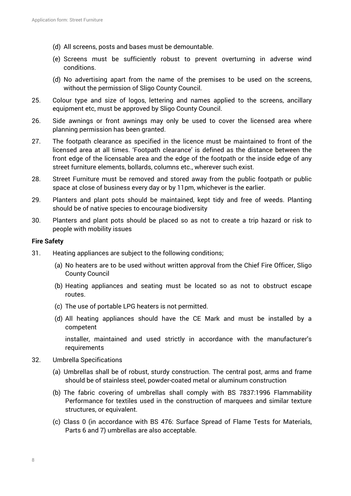- (d) All screens, posts and bases must be demountable.
- (e) Screens must be sufficiently robust to prevent overturning in adverse wind conditions.
- (d) No advertising apart from the name of the premises to be used on the screens, without the permission of Sligo County Council.
- 25. Colour type and size of logos, lettering and names applied to the screens, ancillary equipment etc, must be approved by Sligo County Council.
- 26. Side awnings or front awnings may only be used to cover the licensed area where planning permission has been granted.
- 27. The footpath clearance as specified in the licence must be maintained to front of the licensed area at all times. 'Footpath clearance' is defined as the distance between the front edge of the licensable area and the edge of the footpath or the inside edge of any street furniture elements, bollards, columns etc., wherever such exist.
- 28. Street Furniture must be removed and stored away from the public footpath or public space at close of business every day or by 11pm, whichever is the earlier.
- 29. Planters and plant pots should be maintained, kept tidy and free of weeds. Planting should be of native species to encourage biodiversity
- 30. Planters and plant pots should be placed so as not to create a trip hazard or risk to people with mobility issues

#### **Fire Safety**

- 31. Heating appliances are subject to the following conditions;
	- (a) No heaters are to be used without written approval from the Chief Fire Officer, Sligo County Council
	- (b) Heating appliances and seating must be located so as not to obstruct escape routes.
	- (c) The use of portable LPG heaters is not permitted.
	- (d) All heating appliances should have the CE Mark and must be installed by a competent

 installer, maintained and used strictly in accordance with the manufacturer's requirements

- 32. Umbrella Specifications
	- (a) Umbrellas shall be of robust, sturdy construction. The central post, arms and frame should be of stainless steel, powder-coated metal or aluminum construction
	- (b) The fabric covering of umbrellas shall comply with BS 7837:1996 Flammability Performance for textiles used in the construction of marquees and similar texture structures, or equivalent.
	- (c) Class 0 (in accordance with BS 476: Surface Spread of Flame Tests for Materials, Parts 6 and 7) umbrellas are also acceptable.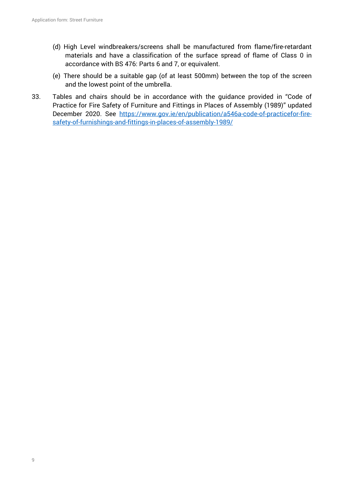- (d) High Level windbreakers/screens shall be manufactured from flame/fire-retardant materials and have a classification of the surface spread of flame of Class 0 in accordance with BS 476: Parts 6 and 7, or equivalent.
- (e) There should be a suitable gap (of at least 500mm) between the top of the screen and the lowest point of the umbrella.
- 33. Tables and chairs should be in accordance with the guidance provided in "Code of Practice for Fire Safety of Furniture and Fittings in Places of Assembly (1989)" updated December 2020. See https://www.gov.ie/en/publication/a546a-code-of-practicefor-firesafety-of-furnishings-and-fittings-in-places-of-assembly-1989/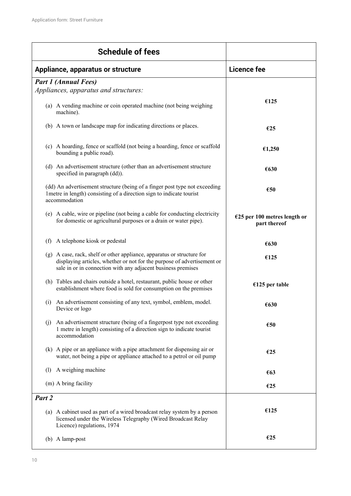| <b>Schedule of fees</b>                                                                                                                                                                                           |                                                |
|-------------------------------------------------------------------------------------------------------------------------------------------------------------------------------------------------------------------|------------------------------------------------|
| Appliance, apparatus or structure                                                                                                                                                                                 | <b>Licence fee</b>                             |
| <b>Part 1 (Annual Fees)</b>                                                                                                                                                                                       |                                                |
| Appliances, apparatus and structures:                                                                                                                                                                             |                                                |
| (a) A vending machine or coin operated machine (not being weighing<br>machine).                                                                                                                                   | €125                                           |
| (b) A town or landscape map for indicating directions or places.                                                                                                                                                  | €25                                            |
| (c) A hoarding, fence or scaffold (not being a hoarding, fence or scaffold<br>bounding a public road).                                                                                                            | €1,250                                         |
| (d) An advertisement structure (other than an advertisement structure<br>specified in paragraph (dd)).                                                                                                            | €630                                           |
| (dd) An advertisement structure (being of a finger post type not exceeding<br>1 metre in length) consisting of a direction sign to indicate tourist<br>accommodation                                              | €50                                            |
| (e) A cable, wire or pipeline (not being a cable for conducting electricity<br>for domestic or agricultural purposes or a drain or water pipe).                                                                   | $E25$ per 100 metres length or<br>part thereof |
| A telephone kiosk or pedestal<br>(f)                                                                                                                                                                              | €630                                           |
| (g) A case, rack, shelf or other appliance, apparatus or structure for<br>displaying articles, whether or not for the purpose of advertisement or<br>sale in or in connection with any adjacent business premises | €125                                           |
| (h) Tables and chairs outside a hotel, restaurant, public house or other<br>establishment where food is sold for consumption on the premises                                                                      | $£125$ per table                               |
| An advertisement consisting of any text, symbol, emblem, model.<br>(i)<br>Device or logo                                                                                                                          | €630                                           |
| An advertisement structure (being of a fingerpost type not exceeding<br>(j)<br>1 metre in length) consisting of a direction sign to indicate tourist<br>accommodation                                             | €50                                            |
| (k) A pipe or an appliance with a pipe attachment for dispensing air or<br>water, not being a pipe or appliance attached to a petrol or oil pump                                                                  | €25                                            |
| A weighing machine<br>(1)                                                                                                                                                                                         | €63                                            |
| (m) A bring facility                                                                                                                                                                                              | €25                                            |
| Part 2                                                                                                                                                                                                            |                                                |
| (a) A cabinet used as part of a wired broadcast relay system by a person<br>licensed under the Wireless Telegraphy (Wired Broadcast Relay<br>Licence) regulations, 1974                                           | €125                                           |
| (b) A lamp-post                                                                                                                                                                                                   | €25                                            |